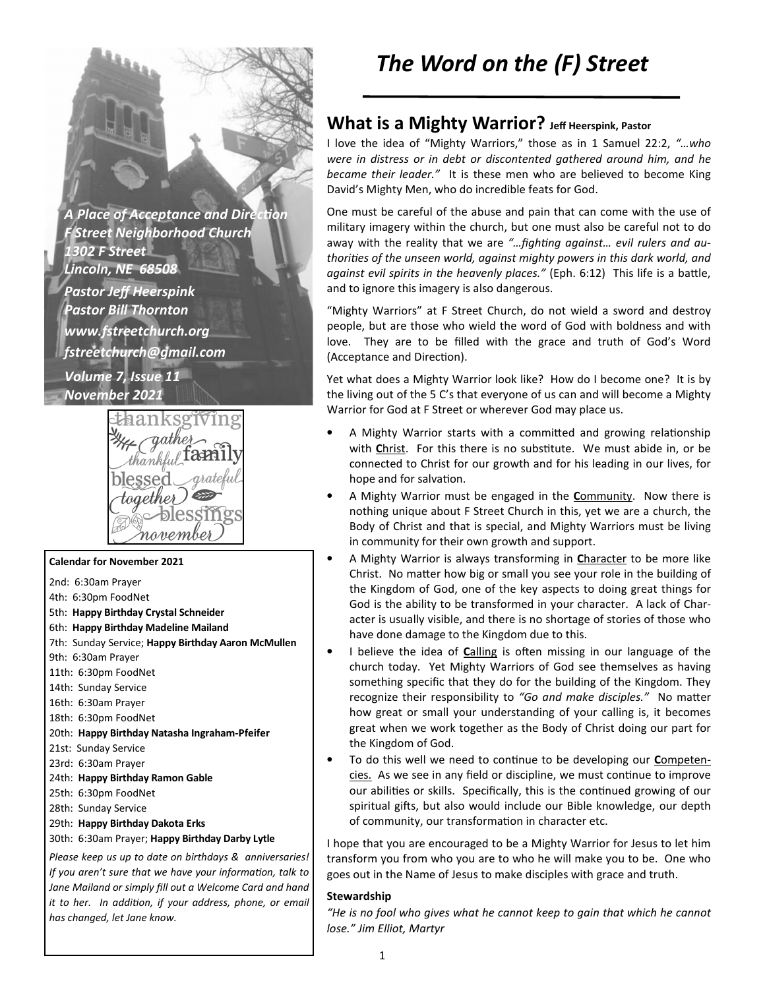**A Place of Acceptance and Direction** *F Street Neighborhood Church 1302 F Street Lincoln, NE 68508 Pastor Jeff Heerspink Pastor Bill Thornton www.fstreetchurch.org fstreetchurch@gmail.com Volume 7, Issue 11 November 2021* 



#### **Calendar for November 2021**

- 2nd: 6:30am Prayer
- 4th: 6:30pm FoodNet
- 5th: **Happy Birthday Crystal Schneider**
- 6th: **Happy Birthday Madeline Mailand**
- 7th: Sunday Service; **Happy Birthday Aaron McMullen**
- 9th: 6:30am Prayer
- 11th: 6:30pm FoodNet
- 14th: Sunday Service
- 16th: 6:30am Prayer
- 18th: 6:30pm FoodNet
- 20th: **Happy Birthday Natasha Ingraham-Pfeifer**
- 21st: Sunday Service
- 23rd: 6:30am Prayer
- 24th: **Happy Birthday Ramon Gable**
- 25th: 6:30pm FoodNet
- 28th: Sunday Service
- 29th: **Happy Birthday Dakota Erks**

#### 30th: 6:30am Prayer; **Happy Birthday Darby Lytle**

*Please keep us up to date on birthdays & anniversaries! If you aren't sure that we have your information, talk to Jane Mailand or simply fill out a Welcome Card and hand it to her. In addition, if your address, phone, or email has changed, let Jane know.* 

# *The Word on the (F) Street*

## **What is a Mighty Warrior? Jeff Heerspink, Pastor**

I love the idea of "Mighty Warriors," those as in 1 Samuel 22:2, *"…who were in distress or in debt or discontented gathered around him, and he became their leader."* It is these men who are believed to become King David's Mighty Men, who do incredible feats for God.

One must be careful of the abuse and pain that can come with the use of military imagery within the church, but one must also be careful not to do away with the reality that we are "... fighting against... evil rulers and authorities of the unseen world, against mighty powers in this dark world, and against evil spirits in the heavenly places." (Eph. 6:12) This life is a battle, and to ignore this imagery is also dangerous.

"Mighty Warriors" at F Street Church, do not wield a sword and destroy people, but are those who wield the word of God with boldness and with love. They are to be filled with the grace and truth of God's Word (Acceptance and Direction).

Yet what does a Mighty Warrior look like? How do I become one? It is by the living out of the 5 C's that everyone of us can and will become a Mighty Warrior for God at F Street or wherever God may place us.

- A Mighty Warrior starts with a committed and growing relationship with Christ. For this there is no substitute. We must abide in, or be connected to Christ for our growth and for his leading in our lives, for hope and for salvation.
- A Mighty Warrior must be engaged in the **C**ommunity. Now there is nothing unique about F Street Church in this, yet we are a church, the Body of Christ and that is special, and Mighty Warriors must be living in community for their own growth and support.
- A Mighty Warrior is always transforming in **C**haracter to be more like Christ. No matter how big or small you see your role in the building of the Kingdom of God, one of the key aspects to doing great things for God is the ability to be transformed in your character. A lack of Character is usually visible, and there is no shortage of stories of those who have done damage to the Kingdom due to this.
- I believe the idea of **Calling** is often missing in our language of the church today. Yet Mighty Warriors of God see themselves as having something specific that they do for the building of the Kingdom. They recognize their responsibility to "Go and make disciples." No matter how great or small your understanding of your calling is, it becomes great when we work together as the Body of Christ doing our part for the Kingdom of God.
- To do this well we need to continue to be developing our **Competen**cies. As we see in any field or discipline, we must continue to improve our abilities or skills. Specifically, this is the continued growing of our spiritual gifts, but also would include our Bible knowledge, our depth of community, our transformation in character etc.

I hope that you are encouraged to be a Mighty Warrior for Jesus to let him transform you from who you are to who he will make you to be. One who goes out in the Name of Jesus to make disciples with grace and truth.

### **Stewardship**

*"He is no fool who gives what he cannot keep to gain that which he cannot lose." Jim Elliot, Martyr*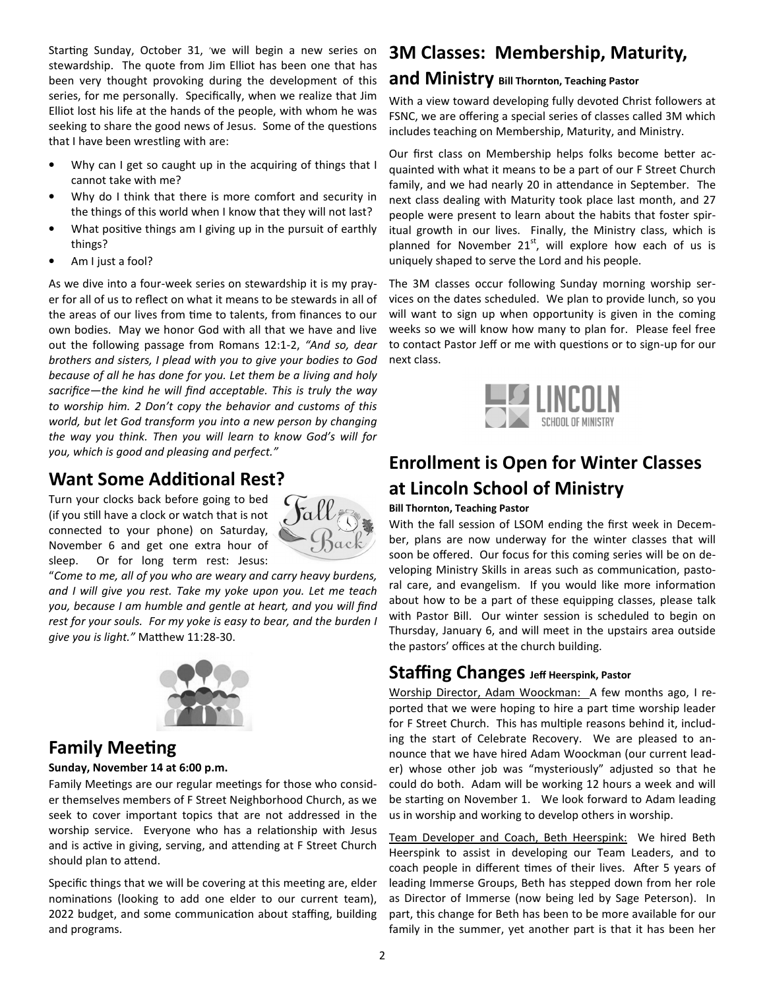Starting Sunday, October 31, 'we will begin a new series on stewardship. The quote from Jim Elliot has been one that has been very thought provoking during the development of this series, for me personally. Specifically, when we realize that Jim Elliot lost his life at the hands of the people, with whom he was seeking to share the good news of Jesus. Some of the questions that I have been wrestling with are:

- Why can I get so caught up in the acquiring of things that I cannot take with me?
- Why do I think that there is more comfort and security in the things of this world when I know that they will not last?
- What positive things am I giving up in the pursuit of earthly things?
- Am I just a fool?

As we dive into a four-week series on stewardship it is my prayer for all of us to reflect on what it means to be stewards in all of the areas of our lives from time to talents, from finances to our own bodies. May we honor God with all that we have and live out the following passage from Romans 12:1-2, *"And so, dear brothers and sisters, I plead with you to give your bodies to God because of all he has done for you. Let them be a living and holy sacrifice—the kind he will find acceptable. This is truly the way to worship him. 2 Don't copy the behavior and customs of this world, but let God transform you into a new person by changing the way you think. Then you will learn to know God's will for you, which is good and pleasing and perfect."* 

## **Want Some Additional Rest?**

Turn your clocks back before going to bed (if you still have a clock or watch that is not connected to your phone) on Saturday, November 6 and get one extra hour of sleep. Or for long term rest: Jesus:



"*Come to me, all of you who are weary and carry heavy burdens, and I will give you rest. Take my yoke upon you. Let me teach you, because I am humble and gentle at heart, and you will find rest for your souls. For my yoke is easy to bear, and the burden I*  give you is light." Matthew 11:28-30.



## **Family Meeting**

### **Sunday, November 14 at 6:00 p.m.**

Family Meetings are our regular meetings for those who consider themselves members of F Street Neighborhood Church, as we seek to cover important topics that are not addressed in the worship service. Everyone who has a relationship with Jesus and is active in giving, serving, and attending at F Street Church should plan to attend.

Specific things that we will be covering at this meeting are, elder nominations (looking to add one elder to our current team), 2022 budget, and some communication about staffing, building and programs.

## **3M Classes: Membership, Maturity,**

### **and Ministry Bill Thornton, Teaching Pastor**

With a view toward developing fully devoted Christ followers at FSNC, we are offering a special series of classes called 3M which includes teaching on Membership, Maturity, and Ministry.

Our first class on Membership helps folks become better acquainted with what it means to be a part of our F Street Church family, and we had nearly 20 in attendance in September. The next class dealing with Maturity took place last month, and 27 people were present to learn about the habits that foster spiritual growth in our lives. Finally, the Ministry class, which is planned for November  $21^{st}$ , will explore how each of us is uniquely shaped to serve the Lord and his people.

The 3M classes occur following Sunday morning worship services on the dates scheduled. We plan to provide lunch, so you will want to sign up when opportunity is given in the coming weeks so we will know how many to plan for. Please feel free to contact Pastor Jeff or me with questions or to sign-up for our next class.



# **Enrollment is Open for Winter Classes at Lincoln School of Ministry**

### **Bill Thornton, Teaching Pastor**

With the fall session of LSOM ending the first week in December, plans are now underway for the winter classes that will soon be offered. Our focus for this coming series will be on developing Ministry Skills in areas such as communication, pastoral care, and evangelism. If you would like more information about how to be a part of these equipping classes, please talk with Pastor Bill. Our winter session is scheduled to begin on Thursday, January 6, and will meet in the upstairs area outside the pastors' offices at the church building.

## **Staffing Changes Jeff Heerspink, Pastor**

Worship Director, Adam Woockman: A few months ago, I reported that we were hoping to hire a part time worship leader for F Street Church. This has multiple reasons behind it, including the start of Celebrate Recovery. We are pleased to announce that we have hired Adam Woockman (our current leader) whose other job was "mysteriously" adjusted so that he could do both. Adam will be working 12 hours a week and will be starting on November 1. We look forward to Adam leading us in worship and working to develop others in worship.

Team Developer and Coach, Beth Heerspink: We hired Beth Heerspink to assist in developing our Team Leaders, and to coach people in different times of their lives. After 5 years of leading Immerse Groups, Beth has stepped down from her role as Director of Immerse (now being led by Sage Peterson). In part, this change for Beth has been to be more available for our family in the summer, yet another part is that it has been her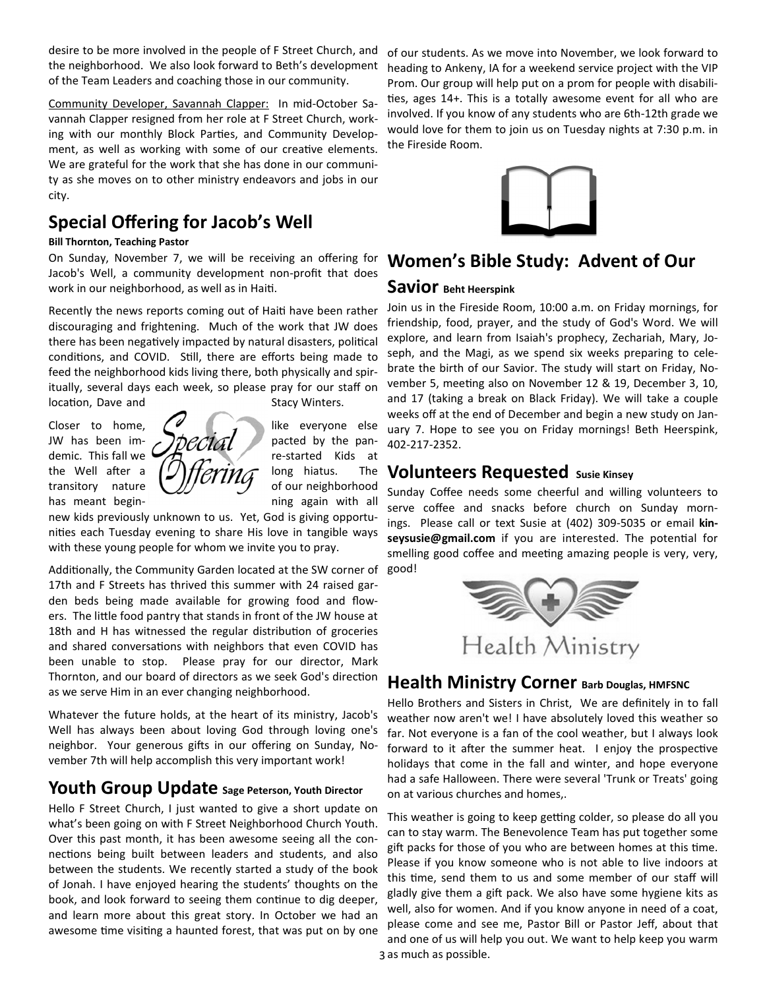desire to be more involved in the people of F Street Church, and the neighborhood. We also look forward to Beth's development of the Team Leaders and coaching those in our community.

Community Developer, Savannah Clapper: In mid-October Savannah Clapper resigned from her role at F Street Church, working with our monthly Block Parties, and Community Development, as well as working with some of our creative elements. We are grateful for the work that she has done in our community as she moves on to other ministry endeavors and jobs in our city.

# **Special Offering for Jacob's Well**

### **Bill Thornton, Teaching Pastor**

On Sunday, November 7, we will be receiving an offering for Jacob's Well, a community development non-profit that does work in our neighborhood, as well as in Haiti.

Recently the news reports coming out of Haiti have been rather discouraging and frightening. Much of the work that JW does there has been negatively impacted by natural disasters, political conditions, and COVID. Still, there are efforts being made to feed the neighborhood kids living there, both physically and spiritually, several days each week, so please pray for our staff on location, Dave and Stacy Winters.

has meant begin-<br>
has meant begin-<br>
has meant begin-



new kids previously unknown to us. Yet, God is giving opportunities each Tuesday evening to share His love in tangible ways with these young people for whom we invite you to pray.

Additionally, the Community Garden located at the SW corner of 17th and F Streets has thrived this summer with 24 raised garden beds being made available for growing food and flowers. The little food pantry that stands in front of the JW house at 18th and H has witnessed the regular distribution of groceries and shared conversations with neighbors that even COVID has been unable to stop. Please pray for our director, Mark Thornton, and our board of directors as we seek God's direction as we serve Him in an ever changing neighborhood.

Whatever the future holds, at the heart of its ministry, Jacob's Well has always been about loving God through loving one's neighbor. Your generous gifts in our offering on Sunday, November 7th will help accomplish this very important work!

## **Youth Group Update Sage Peterson, Youth Director**

Hello F Street Church, I just wanted to give a short update on what's been going on with F Street Neighborhood Church Youth. Over this past month, it has been awesome seeing all the connections being built between leaders and students, and also between the students. We recently started a study of the book of Jonah. I have enjoyed hearing the students' thoughts on the book, and look forward to seeing them continue to dig deeper, and learn more about this great story. In October we had an awesome time visiting a haunted forest, that was put on by one

of our students. As we move into November, we look forward to heading to Ankeny, IA for a weekend service project with the VIP Prom. Our group will help put on a prom for people with disabili ties, ages 14+. This is a totally awesome event for all who are involved. If you know of any students who are 6th-12th grade we would love for them to join us on Tuesday nights at 7:30 p.m. in the Fireside Room.



## **Women's Bible Study: Advent of Our**

### **Savior Beht Heerspink**

Join us in the Fireside Room, 10:00 a.m. on Friday mornings, for friendship, food, prayer, and the study of God's Word. We will explore, and learn from Isaiah's prophecy, Zechariah, Mary, Joseph, and the Magi, as we spend six weeks preparing to celebrate the birth of our Savior. The study will start on Friday, November 5, meeting also on November 12 & 19, December 3, 10, and 17 (taking a break on Black Friday). We will take a couple weeks off at the end of December and begin a new study on January 7. Hope to see you on Friday mornings! Beth Heerspink, 402-217-2352.

## **Volunteers Requested Susie Kinsey**

Sunday Coffee needs some cheerful and willing volunteers to serve coffee and snacks before church on Sunday mornings. Please call or text Susie at (402) 309-5035 or email **kin**seysusie@gmail.com if you are interested. The potential for smelling good coffee and meeting amazing people is very, very, good!



## **Health Ministry Corner Barb Douglas, HMFSNC**

Hello Brothers and Sisters in Christ, We are definitely in to fall weather now aren't we! I have absolutely loved this weather so far. Not everyone is a fan of the cool weather, but I always look forward to it after the summer heat. I enjoy the prospective holidays that come in the fall and winter, and hope everyone had a safe Halloween. There were several 'Trunk or Treats' going on at various churches and homes,.

3 as much as possible. This weather is going to keep getting colder, so please do all you can to stay warm. The Benevolence Team has put together some gift packs for those of you who are between homes at this time. Please if you know someone who is not able to live indoors at this time, send them to us and some member of our staff will gladly give them a gift pack. We also have some hygiene kits as well, also for women. And if you know anyone in need of a coat, please come and see me, Pastor Bill or Pastor Jeff, about that and one of us will help you out. We want to help keep you warm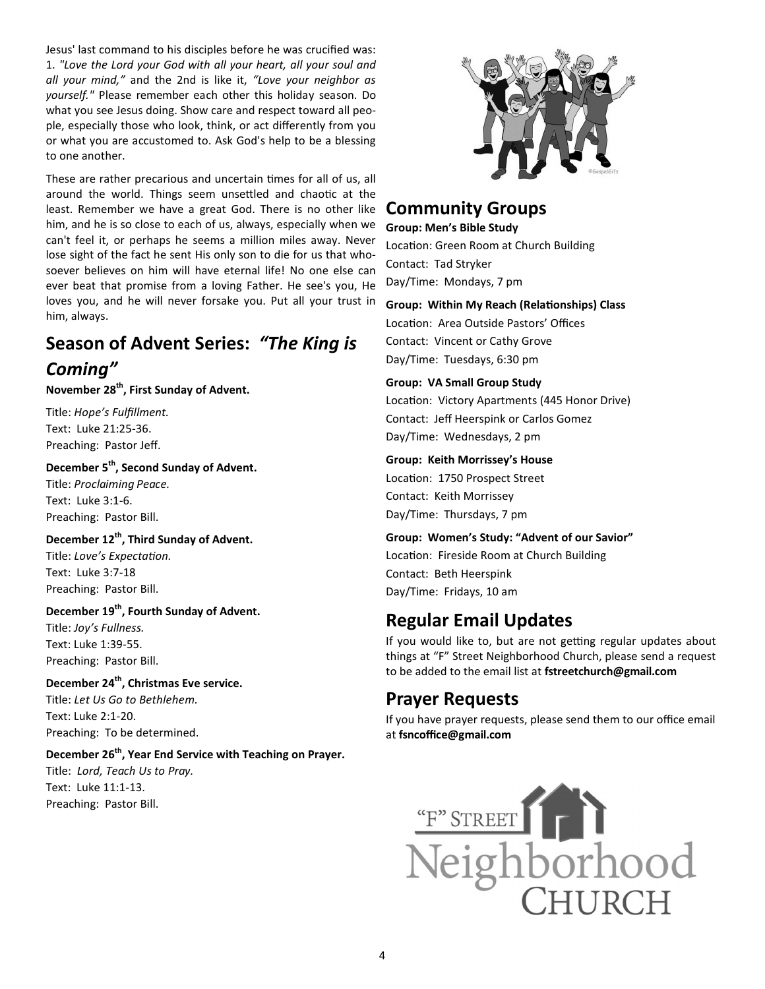Jesus' last command to his disciples before he was crucified was: 1. *"Love the Lord your God with all your heart, all your soul and all your mind,"* and the 2nd is like it, *"Love your neighbor as yourself."* Please remember each other this holiday season. Do what you see Jesus doing. Show care and respect toward all people, especially those who look, think, or act differently from you or what you are accustomed to. Ask God's help to be a blessing to one another.

These are rather precarious and uncertain times for all of us, all around the world. Things seem unsettled and chaotic at the least. Remember we have a great God. There is no other like him, and he is so close to each of us, always, especially when we can't feel it, or perhaps he seems a million miles away. Never lose sight of the fact he sent His only son to die for us that whosoever believes on him will have eternal life! No one else can ever beat that promise from a loving Father. He see's you, He loves you, and he will never forsake you. Put all your trust in him, always.

# **Season of Advent Series:** *"The King is*

## *Coming"*

**November 28th, First Sunday of Advent.** 

Title: *Hope's Fulfillment.*  Text: Luke 21:25-36. Preaching: Pastor Jeff.

**December 5th, Second Sunday of Advent.**  Title: *Proclaiming Peace.* 

Text: Luke 3:1-6. Preaching: Pastor Bill.

### **December 12th, Third Sunday of Advent.**

Title: Love's Expectation. Text: Luke 3:7-18 Preaching: Pastor Bill.

## **December 19th, Fourth Sunday of Advent.**

Title: *Joy's Fullness.*  Text: Luke 1:39-55. Preaching: Pastor Bill.

### **December 24th, Christmas Eve service.**

Title: *Let Us Go to Bethlehem.*  Text: Luke 2:1-20. Preaching: To be determined.

## **December 26th, Year End Service with Teaching on Prayer.**

Title: *Lord, Teach Us to Pray.*  Text: Luke 11:1-13. Preaching: Pastor Bill.



# **Community Groups**

**Group: Men's Bible Study** 

Location: Green Room at Church Building Contact: Tad Stryker Day/Time: Mondays, 7 pm

### **Group: Within My Reach (Relationships) Class**

Location: Area Outside Pastors' Offices Contact: Vincent or Cathy Grove Day/Time: Tuesdays, 6:30 pm

### **Group: VA Small Group Study**

Location: Victory Apartments (445 Honor Drive) Contact: Jeff Heerspink or Carlos Gomez Day/Time: Wednesdays, 2 pm

### **Group: Keith Morrissey's House**

Location: 1750 Prospect Street Contact: Keith Morrissey Day/Time: Thursdays, 7 pm

### **Group: Women's Study: "Advent of our Savior"**

Location: Fireside Room at Church Building Contact: Beth Heerspink Day/Time: Fridays, 10 am

# **Regular Email Updates**

If you would like to, but are not getting regular updates about things at "F" Street Neighborhood Church, please send a request to be added to the email list at **fstreetchurch@gmail.com**

# **Prayer Requests**

If you have prayer requests, please send them to our office email at **fsncoffice@gmail.com**